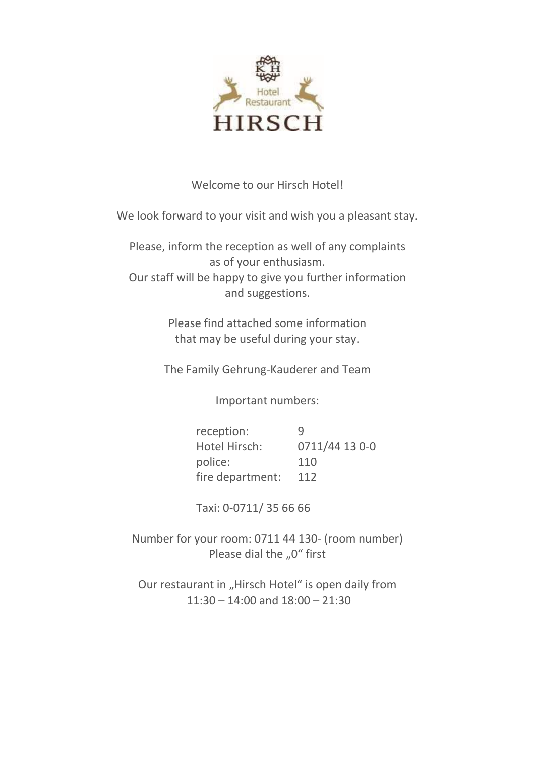

# Welcome to our Hirsch Hotel!

We look forward to your visit and wish you a pleasant stay.

Please, inform the reception as well of any complaints as of your enthusiasm. Our staff will be happy to give you further information and suggestions.

> Please find attached some information that may be useful during your stay.

The Family Gehrung-Kauderer and Team

Important numbers:

| reception:       | Ч              |
|------------------|----------------|
| Hotel Hirsch:    | 0711/44 13 0-0 |
| police:          | 110            |
| fire department: | 112            |

Taxi: 0-0711/ 35 66 66

Number for your room: 0711 44 130- (room number) Please dial the "0" first

Our restaurant in "Hirsch Hotel" is open daily from  $11:30 - 14:00$  and  $18:00 - 21:30$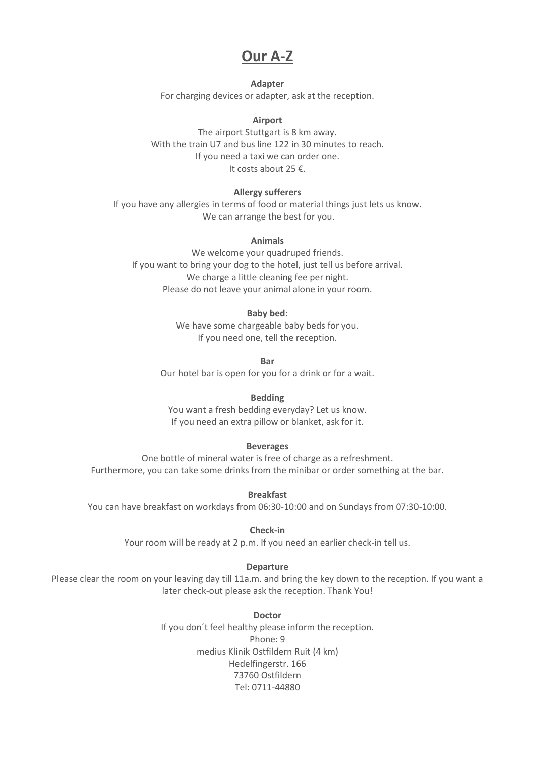# **Our A-Z**

**Adapter** For charging devices or adapter, ask at the reception.

**Airport**

The airport Stuttgart is 8 km away. With the train U7 and bus line 122 in 30 minutes to reach. If you need a taxi we can order one. It costs about 25  $\epsilon$ .

# **Allergy sufferers**

If you have any allergies in terms of food or material things just lets us know. We can arrange the best for you.

# **Animals**

We welcome your quadruped friends. If you want to bring your dog to the hotel, just tell us before arrival. We charge a little cleaning fee per night. Please do not leave your animal alone in your room.

## **Baby bed:**

We have some chargeable baby beds for you. If you need one, tell the reception.

**Bar**

Our hotel bar is open for you for a drink or for a wait.

#### **Bedding**

You want a fresh bedding everyday? Let us know. If you need an extra pillow or blanket, ask for it.

#### **Beverages**

One bottle of mineral water is free of charge as a refreshment. Furthermore, you can take some drinks from the minibar or order something at the bar.

**Breakfast**

You can have breakfast on workdays from 06:30-10:00 and on Sundays from 07:30-10:00.

#### **Check-in**

Your room will be ready at 2 p.m. If you need an earlier check-in tell us.

## **Departure**

Please clear the room on your leaving day till 11a.m. and bring the key down to the reception. If you want a later check-out please ask the reception. Thank You!

#### **Doctor**

If you don´t feel healthy please inform the reception. Phone: 9 medius Klinik Ostfildern Ruit (4 km) Hedelfingerstr. 166 73760 Ostfildern Tel: 0711-44880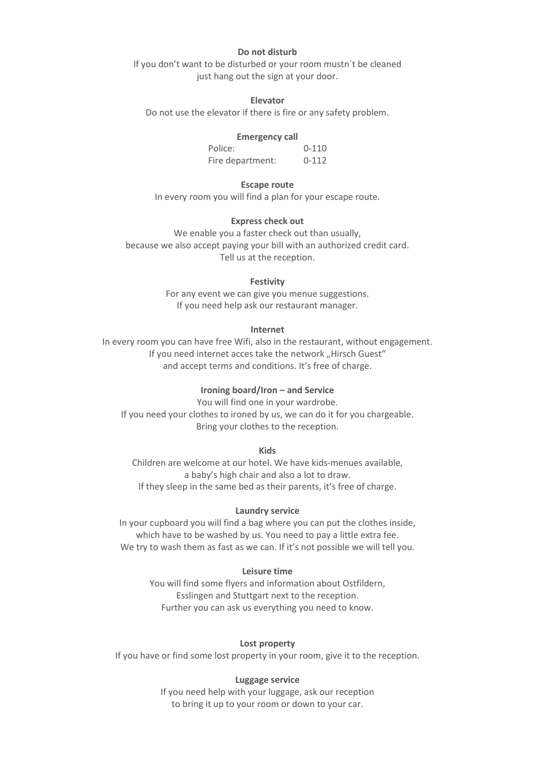#### **Do not disturb**

If you don't want to be disturbed or your room mustn't be cleaned just hang out the sign at your door.

#### **Elevator**

Do not use the elevator if there is fire or any safety problem.

#### **Emergency call**

Police: 0-110 Fire department: 0-112

## **Escape route**

In every room you will find a plan for your escape route.

## **Express check out**

We enable you a faster check out than usually, because we also accept paying your bill with an authorized credit card. Tell us at the reception.

#### **Festivity**

For any event we can give you menue suggestions. If you need help ask our restaurant manager.

## **Internet**

In every room you can have free Wifi, also in the restaurant, without engagement. If you need internet acces take the network "Hirsch Guest" and accept terms and conditions. It's free of charge.

# **Ironing board/Iron ʹ and Service**

You will find one in your wardrobe. If you need your clothes to ironed by us, we can do it for you chargeable. Bring your clothes to the reception.

**Kids**

Children are welcome at our hotel. We have kids-menues available, a baby's high chair and also a lot to draw. If they sleep in the same bed as their parents, it's free of charge.

#### **Laundry service**

In your cupboard you will find a bag where you can put the clothes inside, which have to be washed by us. You need to pay a little extra fee. We try to wash them as fast as we can. If it's not possible we will tell you.

## **Leisure time**

You will find some flyers and information about Ostfildern, Esslingen and Stuttgart next to the reception. Further you can ask us everything you need to know.

#### **Lost property**

If you have or find some lost property in your room, give it to the reception.

#### **Luggage service**

If you need help with your luggage, ask our reception to bring it up to your room or down to your car.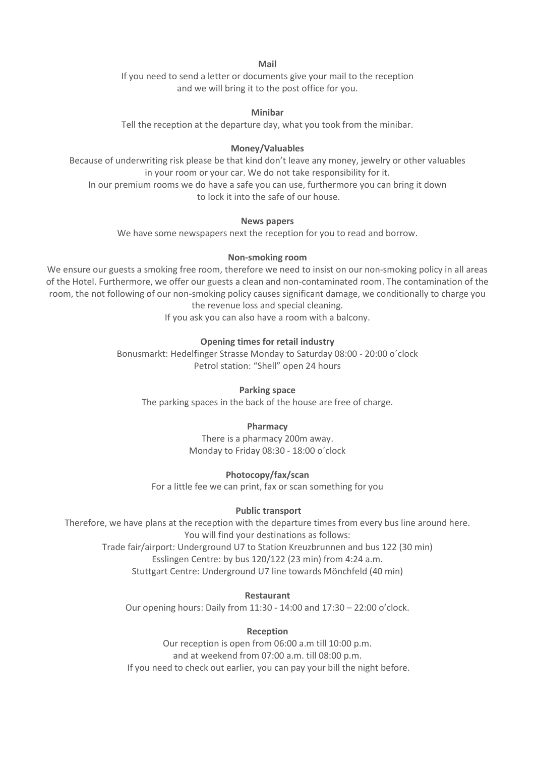**Mail**

If you need to send a letter or documents give your mail to the reception and we will bring it to the post office for you.

## **Minibar**

Tell the reception at the departure day, what you took from the minibar.

## **Money/Valuables**

Because of underwriting risk please be that kind don't leave any money, jewelry or other valuables in your room or your car. We do not take responsibility for it.

In our premium rooms we do have a safe you can use, furthermore you can bring it down to lock it into the safe of our house.

## **News papers**

We have some newspapers next the reception for you to read and borrow.

## **Non-smoking room**

We ensure our guests a smoking free room, therefore we need to insist on our non-smoking policy in all areas of the Hotel. Furthermore, we offer our guests a clean and non-contaminated room. The contamination of the room, the not following of our non-smoking policy causes significant damage, we conditionally to charge you the revenue loss and special cleaning.

If you ask you can also have a room with a balcony.

# **Opening times for retail industry**

Bonusmarkt: Hedelfinger Strasse Monday to Saturday 08:00 - 20:00 o´clock Petrol station: "Shell" open 24 hours

#### **Parking space**

The parking spaces in the back of the house are free of charge.

## **Pharmacy**

There is a pharmacy 200m away. Monday to Friday 08:30 - 18:00 o´clock

## **Photocopy/fax/scan**

For a little fee we can print, fax or scan something for you

## **Public transport**

Therefore, we have plans at the reception with the departure times from every bus line around here. You will find your destinations as follows: Trade fair/airport: Underground U7 to Station Kreuzbrunnen and bus 122 (30 min) Esslingen Centre: by bus 120/122 (23 min) from 4:24 a.m. Stuttgart Centre: Underground U7 line towards Mönchfeld (40 min)

## **Restaurant**

Our opening hours: Daily from  $11:30 - 14:00$  and  $17:30 - 22:00$  o'clock.

## **Reception**

Our reception is open from 06:00 a.m till 10:00 p.m. and at weekend from 07:00 a.m. till 08:00 p.m. If you need to check out earlier, you can pay your bill the night before.